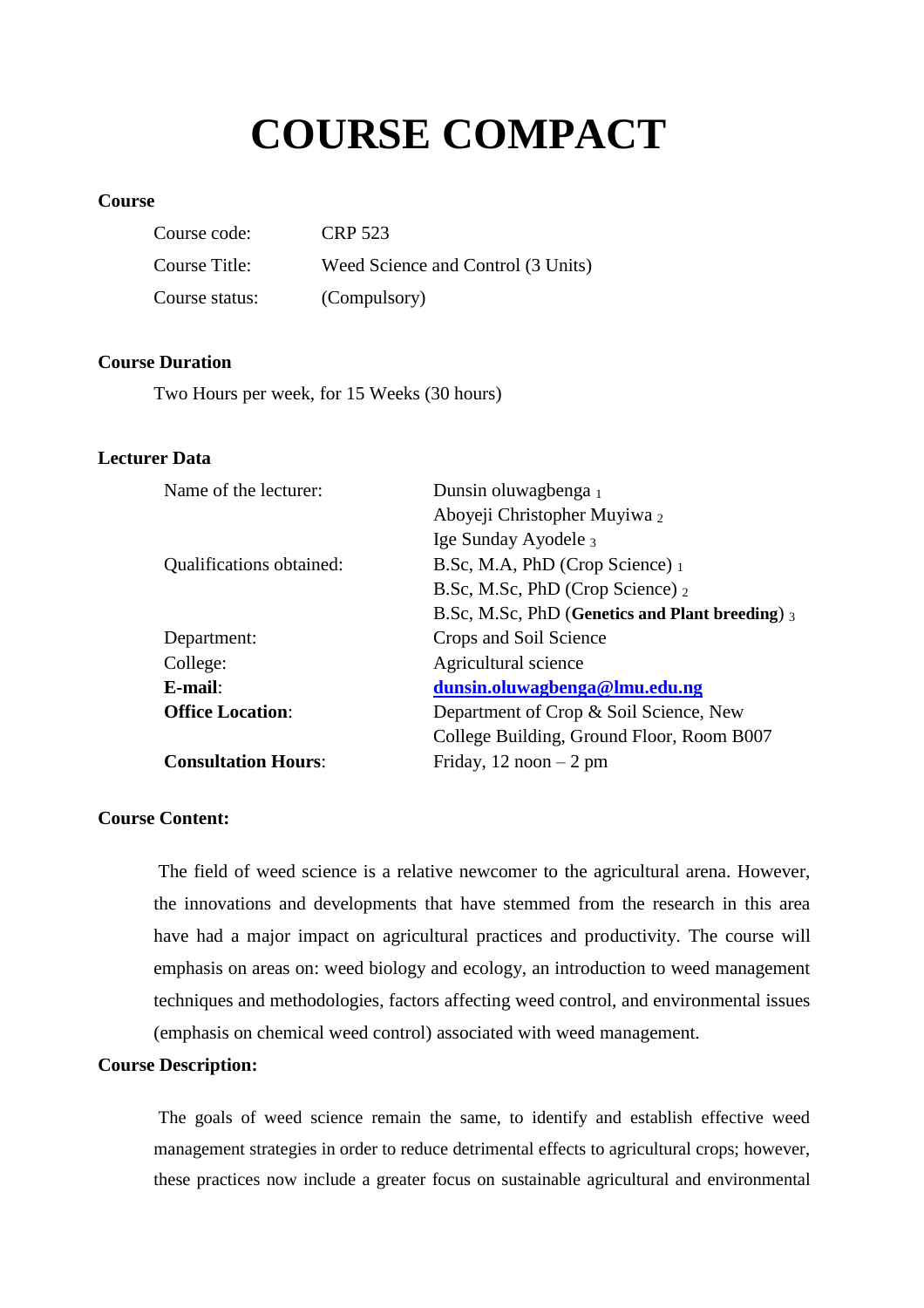# **COURSE COMPACT**

# **Course**

| Course code:   | CRP 523                            |
|----------------|------------------------------------|
| Course Title:  | Weed Science and Control (3 Units) |
| Course status: | (Compulsory)                       |

## **Course Duration**

Two Hours per week, for 15 Weeks (30 hours)

# **Lecturer Data**

| Name of the lecturer:           | Dunsin oluwagbenga 1                            |  |
|---------------------------------|-------------------------------------------------|--|
|                                 | Aboyeji Christopher Muyiwa 2                    |  |
|                                 | Ige Sunday Ayodele 3                            |  |
| <b>Qualifications obtained:</b> | B.Sc, M.A, PhD (Crop Science) 1                 |  |
|                                 | B.Sc, M.Sc, PhD (Crop Science) 2                |  |
|                                 | B.Sc, M.Sc, PhD (Genetics and Plant breeding) 3 |  |
| Department:                     | Crops and Soil Science                          |  |
| College:                        | Agricultural science                            |  |
| $E$ -mail:                      | dunsin.oluwagbenga@lmu.edu.ng                   |  |
| <b>Office Location:</b>         | Department of Crop & Soil Science, New          |  |
|                                 | College Building, Ground Floor, Room B007       |  |
| <b>Consultation Hours:</b>      | Friday, $12 \text{ noon} - 2 \text{ pm}$        |  |
|                                 |                                                 |  |

# **Course Content:**

The field of weed science is a relative newcomer to the agricultural arena. However, the innovations and developments that have stemmed from the research in this area have had a major impact on agricultural practices and productivity. The course will emphasis on areas on: weed biology and ecology, an introduction to weed management techniques and methodologies, factors affecting weed control, and environmental issues (emphasis on chemical weed control) associated with weed management.

# **Course Description:**

The goals of weed science remain the same, to identify and establish effective weed management strategies in order to reduce detrimental effects to agricultural crops; however, these practices now include a greater focus on sustainable agricultural and environmental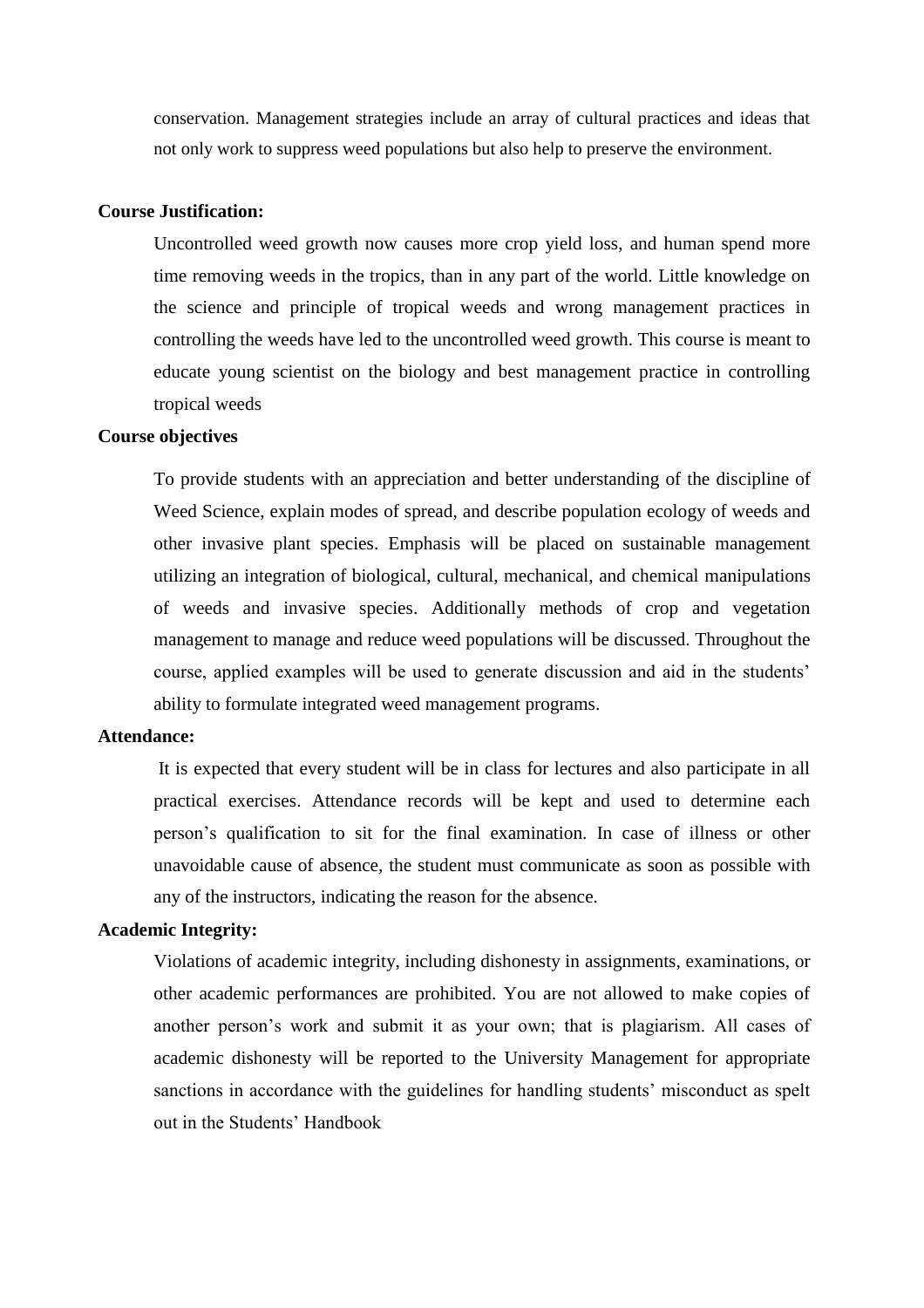conservation. Management strategies include an array of cultural practices and ideas that not only work to suppress weed populations but also help to preserve the environment.

#### **Course Justification:**

Uncontrolled weed growth now causes more crop yield loss, and human spend more time removing weeds in the tropics, than in any part of the world. Little knowledge on the science and principle of tropical weeds and wrong management practices in controlling the weeds have led to the uncontrolled weed growth. This course is meant to educate young scientist on the biology and best management practice in controlling tropical weeds

## **Course objectives**

To provide students with an appreciation and better understanding of the discipline of Weed Science, explain modes of spread, and describe population ecology of weeds and other invasive plant species. Emphasis will be placed on sustainable management utilizing an integration of biological, cultural, mechanical, and chemical manipulations of weeds and invasive species. Additionally methods of crop and vegetation management to manage and reduce weed populations will be discussed. Throughout the course, applied examples will be used to generate discussion and aid in the students' ability to formulate integrated weed management programs.

#### **Attendance:**

It is expected that every student will be in class for lectures and also participate in all practical exercises. Attendance records will be kept and used to determine each person's qualification to sit for the final examination. In case of illness or other unavoidable cause of absence, the student must communicate as soon as possible with any of the instructors, indicating the reason for the absence.

#### **Academic Integrity:**

Violations of academic integrity, including dishonesty in assignments, examinations, or other academic performances are prohibited. You are not allowed to make copies of another person's work and submit it as your own; that is plagiarism. All cases of academic dishonesty will be reported to the University Management for appropriate sanctions in accordance with the guidelines for handling students' misconduct as spelt out in the Students' Handbook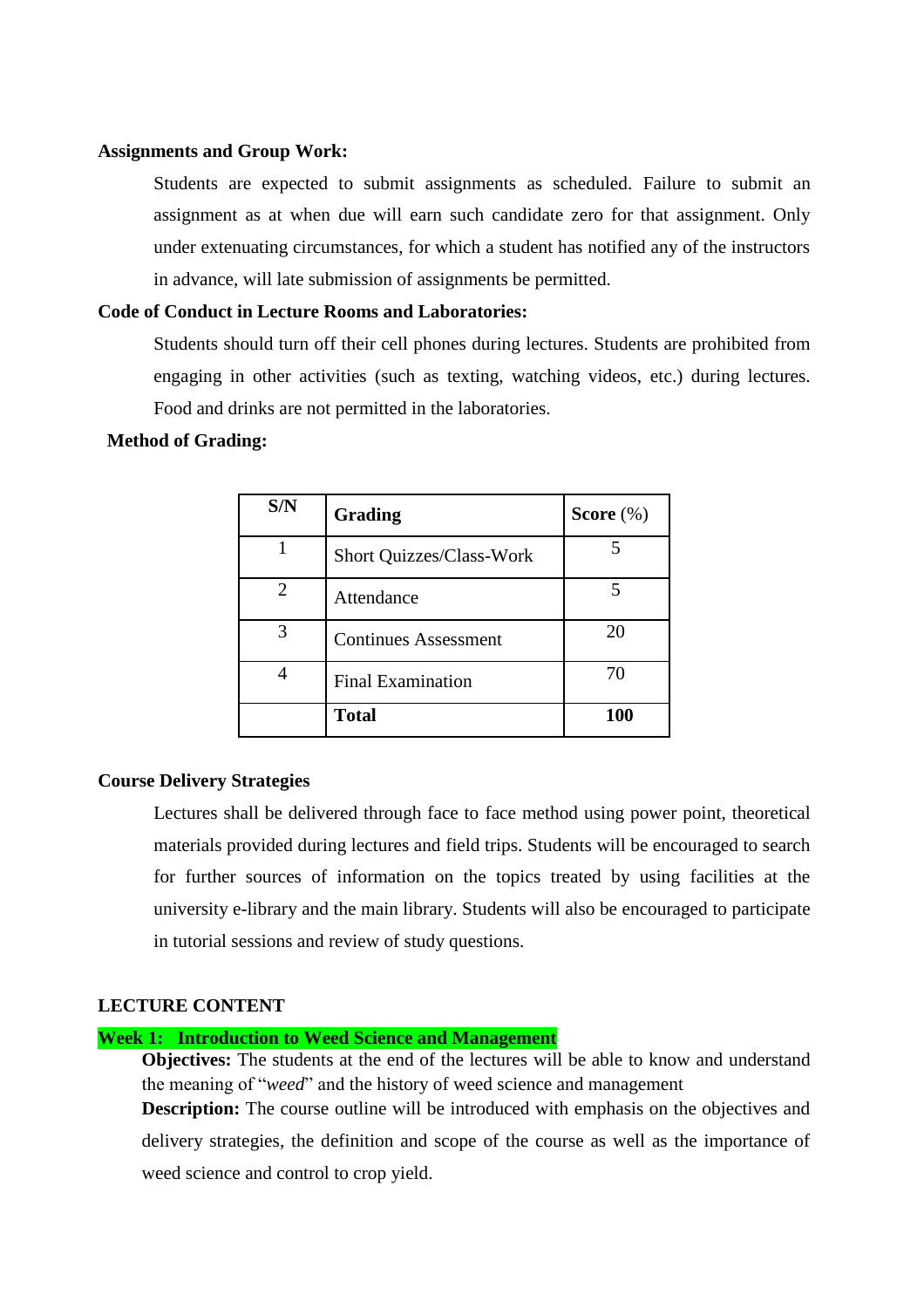#### **Assignments and Group Work:**

Students are expected to submit assignments as scheduled. Failure to submit an assignment as at when due will earn such candidate zero for that assignment. Only under extenuating circumstances, for which a student has notified any of the instructors in advance, will late submission of assignments be permitted.

## **Code of Conduct in Lecture Rooms and Laboratories:**

Students should turn off their cell phones during lectures. Students are prohibited from engaging in other activities (such as texting, watching videos, etc.) during lectures. Food and drinks are not permitted in the laboratories.

#### **Method of Grading:**

| S/N | Grading                         | Score $(\%)$ |
|-----|---------------------------------|--------------|
|     | <b>Short Quizzes/Class-Work</b> |              |
| 2   | Attendance                      |              |
|     | <b>Continues Assessment</b>     | 20           |
|     | <b>Final Examination</b>        | 70           |
|     | <b>Total</b>                    | 100          |

## **Course Delivery Strategies**

Lectures shall be delivered through face to face method using power point, theoretical materials provided during lectures and field trips. Students will be encouraged to search for further sources of information on the topics treated by using facilities at the university e-library and the main library. Students will also be encouraged to participate in tutorial sessions and review of study questions.

# **LECTURE CONTENT**

#### **Week 1: Introduction to Weed Science and Management**

**Objectives:** The students at the end of the lectures will be able to know and understand the meaning of "*weed*" and the history of weed science and management

**Description:** The course outline will be introduced with emphasis on the objectives and delivery strategies, the definition and scope of the course as well as the importance of weed science and control to crop yield.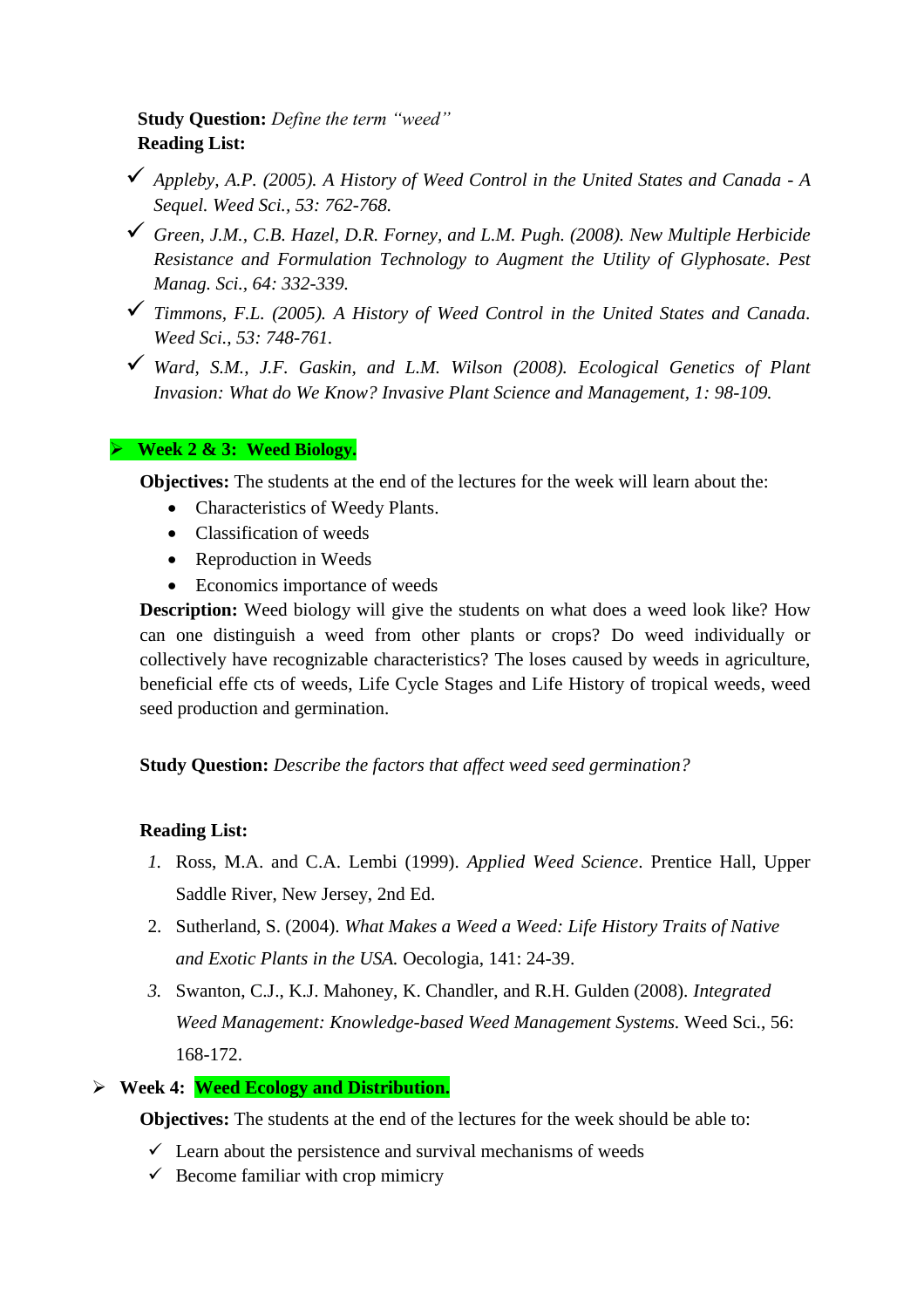# **Study Question:** *Define the term "weed"* **Reading List:**

- *Appleby, A.P. (2005). A History of Weed Control in the United States and Canada - A Sequel. Weed Sci., 53: 762-768.*
- *Green, J.M., C.B. Hazel, D.R. Forney, and L.M. Pugh. (2008). New Multiple Herbicide Resistance and Formulation Technology to Augment the Utility of Glyphosate. Pest Manag. Sci., 64: 332-339.*
- *Timmons, F.L. (2005). A History of Weed Control in the United States and Canada. Weed Sci., 53: 748-761.*
- *Ward, S.M., J.F. Gaskin, and L.M. Wilson (2008). Ecological Genetics of Plant Invasion: What do We Know? Invasive Plant Science and Management, 1: 98-109.*

# **Week 2 & 3: Weed Biology.**

**Objectives:** The students at the end of the lectures for the week will learn about the:

- Characteristics of Weedy Plants.
- Classification of weeds
- Reproduction in Weeds
- Economics importance of weeds

**Description:** Weed biology will give the students on what does a weed look like? How can one distinguish a weed from other plants or crops? Do weed individually or collectively have recognizable characteristics? The loses caused by weeds in agriculture, beneficial effe cts of weeds, Life Cycle Stages and Life History of tropical weeds, weed seed production and germination.

**Study Question:** *Describe the factors that affect weed seed germination?*

# **Reading List:**

- *1.* Ross, M.A. and C.A. Lembi (1999). *Applied Weed Science*. Prentice Hall, Upper Saddle River, New Jersey, 2nd Ed.
- 2. Sutherland, S. (2004). *What Makes a Weed a Weed: Life History Traits of Native and Exotic Plants in the USA.* Oecologia, 141: 24-39.
- *3.* Swanton, C.J., K.J. Mahoney, K. Chandler, and R.H. Gulden (2008). *Integrated Weed Management: Knowledge-based Weed Management Systems.* Weed Sci., 56: 168-172.
- **Week 4: Weed Ecology and Distribution.**

**Objectives:** The students at the end of the lectures for the week should be able to:

- $\checkmark$  Learn about the persistence and survival mechanisms of weeds
- $\checkmark$  Become familiar with crop mimicry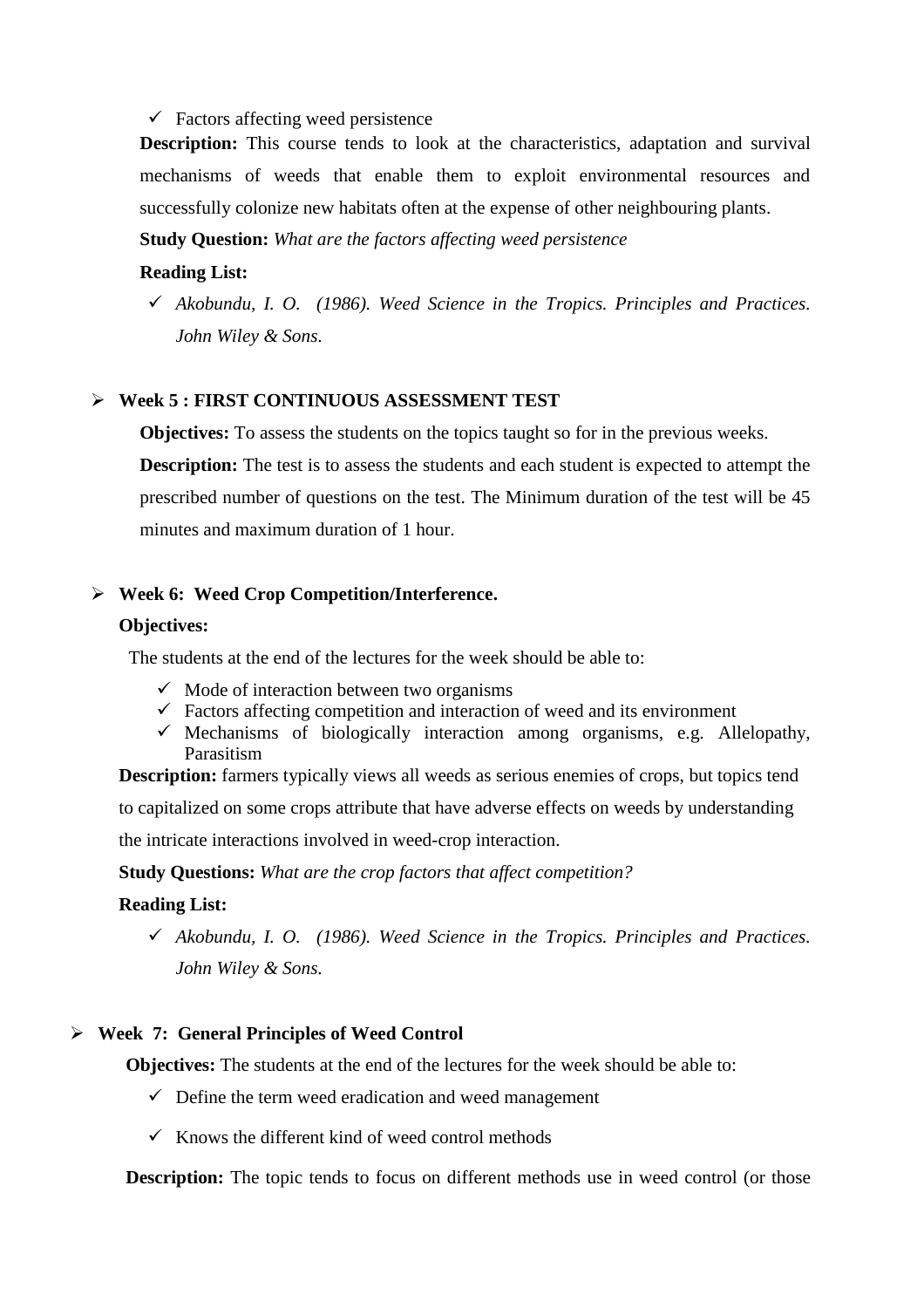$\checkmark$  Factors affecting weed persistence

**Description:** This course tends to look at the characteristics, adaptation and survival mechanisms of weeds that enable them to exploit environmental resources and successfully colonize new habitats often at the expense of other neighbouring plants.

**Study Question:** *What are the factors affecting weed persistence*

# **Reading List:**

 *Akobundu, I. O. (1986). Weed Science in the Tropics. Principles and Practices. John Wiley & Sons.*

## **Week 5 : FIRST CONTINUOUS ASSESSMENT TEST**

**Objectives:** To assess the students on the topics taught so for in the previous weeks. **Description:** The test is to assess the students and each student is expected to attempt the prescribed number of questions on the test. The Minimum duration of the test will be 45 minutes and maximum duration of 1 hour.

# **Week 6: Weed Crop Competition/Interference.**

#### **Objectives:**

The students at the end of the lectures for the week should be able to:

- $\checkmark$  Mode of interaction between two organisms
- $\checkmark$  Factors affecting competition and interaction of weed and its environment
- $\checkmark$  Mechanisms of biologically interaction among organisms, e.g. Allelopathy, Parasitism

**Description:** farmers typically views all weeds as serious enemies of crops, but topics tend to capitalized on some crops attribute that have adverse effects on weeds by understanding the intricate interactions involved in weed-crop interaction.

**Study Questions:** *What are the crop factors that affect competition?*

## **Reading List:**

 *Akobundu, I. O. (1986). Weed Science in the Tropics. Principles and Practices. John Wiley & Sons.*

## **Week 7: General Principles of Weed Control**

**Objectives:** The students at the end of the lectures for the week should be able to:

- $\checkmark$  Define the term weed eradication and weed management
- $\checkmark$  Knows the different kind of weed control methods

**Description:** The topic tends to focus on different methods use in weed control (or those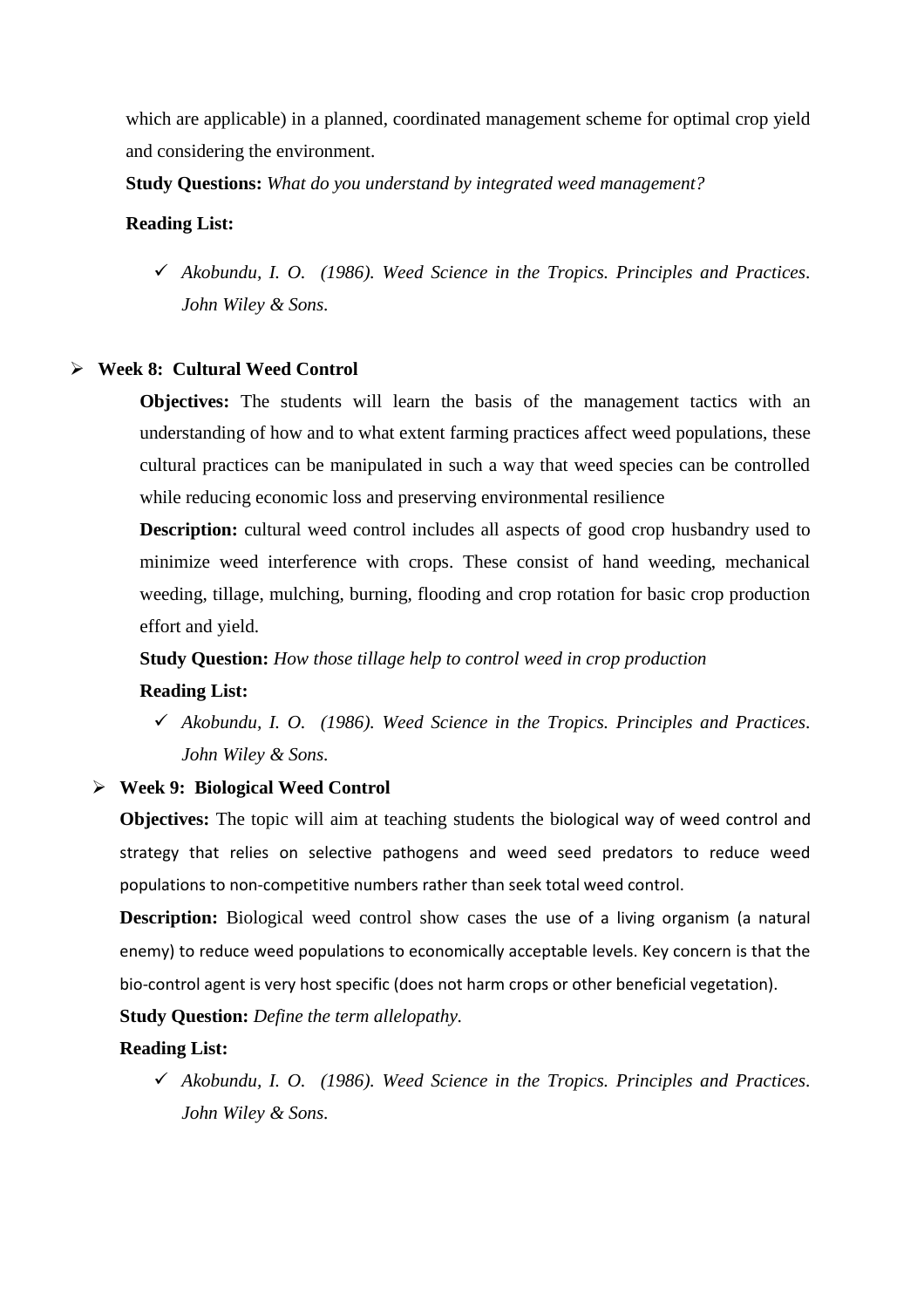which are applicable) in a planned, coordinated management scheme for optimal crop yield and considering the environment.

**Study Questions:** *What do you understand by integrated weed management?* 

#### **Reading List:**

 *Akobundu, I. O. (1986). Weed Science in the Tropics. Principles and Practices. John Wiley & Sons.*

## **Week 8: Cultural Weed Control**

**Objectives:** The students will learn the basis of the management tactics with an understanding of how and to what extent farming practices affect weed populations, these cultural practices can be manipulated in such a way that weed species can be controlled while reducing economic loss and preserving environmental resilience

**Description:** cultural weed control includes all aspects of good crop husbandry used to minimize weed interference with crops. These consist of hand weeding, mechanical weeding, tillage, mulching, burning, flooding and crop rotation for basic crop production effort and yield.

**Study Question:** *How those tillage help to control weed in crop production*  **Reading List:**

 *Akobundu, I. O. (1986). Weed Science in the Tropics. Principles and Practices. John Wiley & Sons.*

## **Week 9: Biological Weed Control**

**Objectives:** The topic will aim at teaching students the biological way of weed control and strategy that relies on selective pathogens and weed seed predators to reduce weed populations to non-competitive numbers rather than seek total weed control.

**Description:** Biological weed control show cases the use of a living organism (a natural enemy) to reduce weed populations to economically acceptable levels. Key concern is that the bio-control agent is very host specific (does not harm crops or other beneficial vegetation).

**Study Question:** *Define the term allelopathy.* 

#### **Reading List:**

 *Akobundu, I. O. (1986). Weed Science in the Tropics. Principles and Practices. John Wiley & Sons.*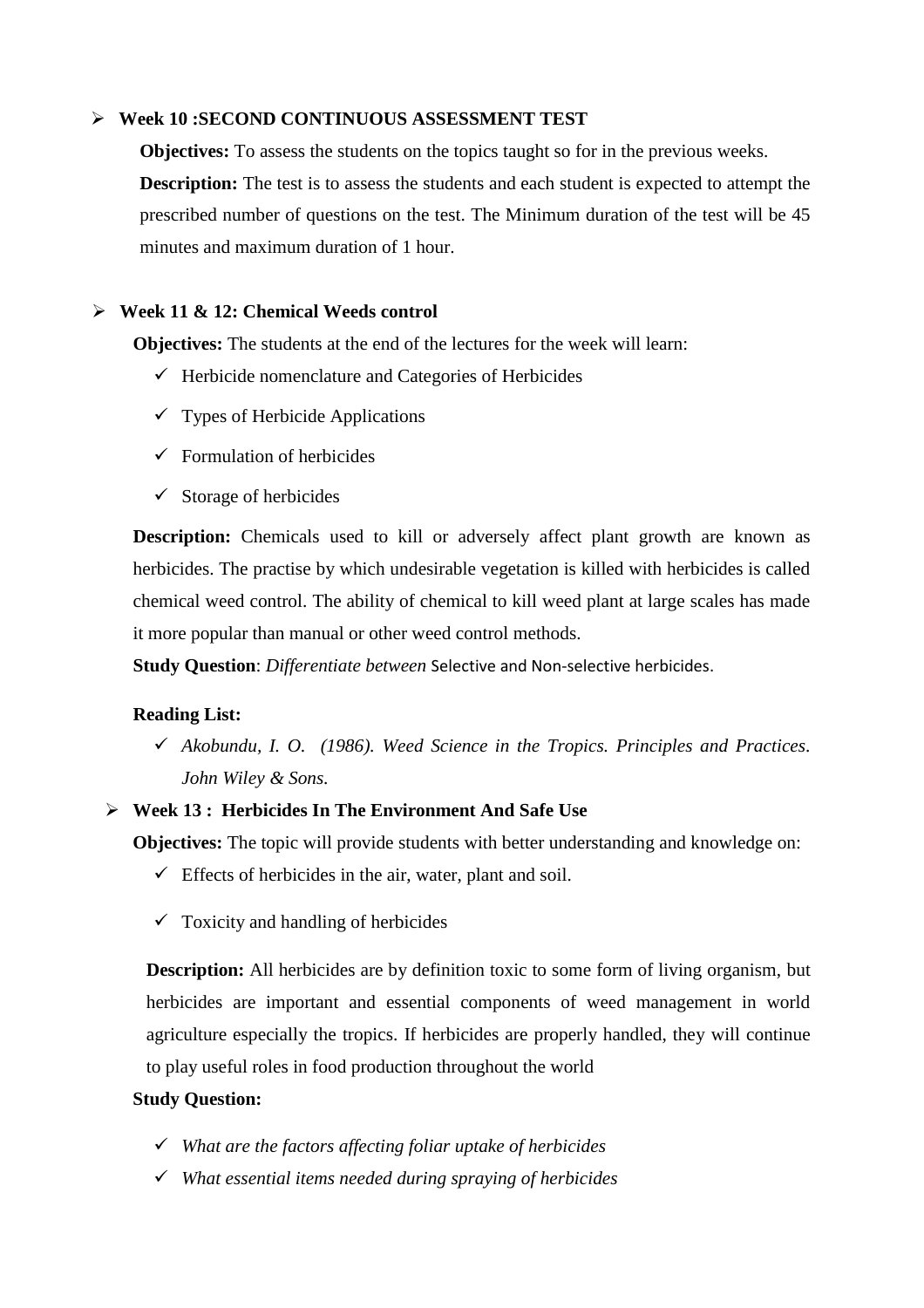## **Week 10 :SECOND CONTINUOUS ASSESSMENT TEST**

**Objectives:** To assess the students on the topics taught so for in the previous weeks. **Description:** The test is to assess the students and each student is expected to attempt the prescribed number of questions on the test. The Minimum duration of the test will be 45 minutes and maximum duration of 1 hour.

#### **Week 11 & 12: Chemical Weeds control**

**Objectives:** The students at the end of the lectures for the week will learn:

- $\checkmark$  Herbicide nomenclature and Categories of Herbicides
- $\checkmark$  Types of Herbicide Applications
- $\checkmark$  Formulation of herbicides
- $\checkmark$  Storage of herbicides

**Description:** Chemicals used to kill or adversely affect plant growth are known as herbicides. The practise by which undesirable vegetation is killed with herbicides is called chemical weed control. The ability of chemical to kill weed plant at large scales has made it more popular than manual or other weed control methods.

**Study Question**: *Differentiate between* Selective and Non-selective herbicides.

#### **Reading List:**

 *Akobundu, I. O. (1986). Weed Science in the Tropics. Principles and Practices. John Wiley & Sons.*

# **Week 13 : Herbicides In The Environment And Safe Use**

**Objectives:** The topic will provide students with better understanding and knowledge on:

- $\checkmark$  Effects of herbicides in the air, water, plant and soil.
- $\checkmark$  Toxicity and handling of herbicides

**Description:** All herbicides are by definition toxic to some form of living organism, but herbicides are important and essential components of weed management in world agriculture especially the tropics. If herbicides are properly handled, they will continue to play useful roles in food production throughout the world

## **Study Question:**

- *What are the factors affecting foliar uptake of herbicides*
- *What essential items needed during spraying of herbicides*